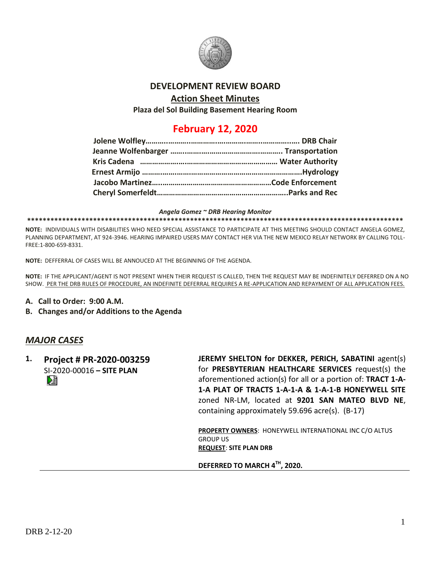

## **DEVELOPMENT REVIEW BOARD**

## **Action Sheet Minutes**

**Plaza del Sol Building Basement Hearing Room**

## **February 12, 2020**

#### *Angela Gomez ~ DRB Hearing Monitor*

#### **\*\*\*\*\*\*\*\*\*\*\*\*\*\*\*\*\*\*\*\*\*\*\*\*\*\*\*\*\*\*\*\*\*\*\*\*\*\*\*\*\*\*\*\*\*\*\*\*\*\*\*\*\*\*\*\*\*\*\*\*\*\*\*\*\*\*\*\*\*\*\*\*\*\*\*\*\*\*\*\*\*\*\*\*\*\*\*\*\*\*\*\*\*\*\*\*\***

**NOTE:** INDIVIDUALS WITH DISABILITIES WHO NEED SPECIAL ASSISTANCE TO PARTICIPATE AT THIS MEETING SHOULD CONTACT ANGELA GOMEZ, PLANNING DEPARTMENT, AT 924-3946. HEARING IMPAIRED USERS MAY CONTACT HER VIA THE NEW MEXICO RELAY NETWORK BY CALLING TOLL-FREE:1-800-659-8331.

**NOTE:** DEFFERRAL OF CASES WILL BE ANNOUCED AT THE BEGINNING OF THE AGENDA.

**NOTE:** IF THE APPLICANT/AGENT IS NOT PRESENT WHEN THEIR REQUEST IS CALLED, THEN THE REQUEST MAY BE INDEFINITELY DEFERRED ON A NO SHOW. PER THE DRB RULES OF PROCEDURE, AN INDEFINITE DEFERRAL REQUIRES A RE-APPLICATION AND REPAYMENT OF ALL APPLICATION FEES.

- **A. Call to Order: 9:00 A.M.**
- **B. Changes and/or Additions to the Agenda**

## *MAJOR CASES*

**1. Project # PR-2020-003259** SI-2020-00016 **– SITE PLAN**

**JEREMY SHELTON for DEKKER, PERICH, SABATINI** agent(s) for **PRESBYTERIAN HEALTHCARE SERVICES** request(s) the aforementioned action(s) for all or a portion of: **TRACT 1-A-1-A PLAT OF TRACTS 1-A-1-A & 1-A-1-B HONEYWELL SITE** zoned NR-LM, located at **9201 SAN MATEO BLVD NE**, containing approximately 59.696 acre(s). (B-17)

**PROPERTY OWNERS**: HONEYWELL INTERNATIONAL INC C/O ALTUS GROUP US **REQUEST**: **SITE PLAN DRB**

**DEFERRED TO MARCH 4TH, 2020.**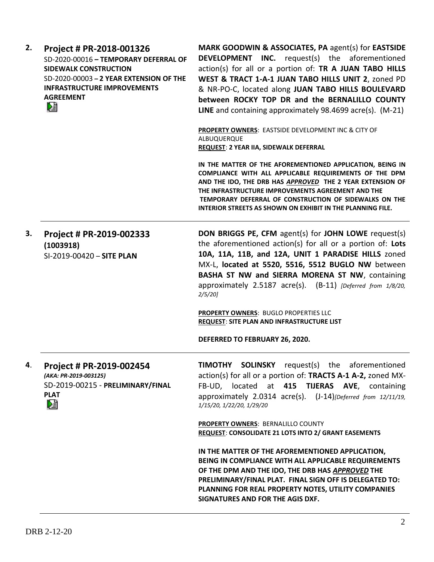| 2. | Project # PR-2018-001326<br>SD-2020-00016 - TEMPORARY DEFERRAL OF<br><b>SIDEWALK CONSTRUCTION</b><br>SD-2020-00003 - 2 YEAR EXTENSION OF THE<br><b>INFRASTRUCTURE IMPROVEMENTS</b><br><b>AGREEMENT</b><br>熠 | MARK GOODWIN & ASSOCIATES, PA agent(s) for EASTSIDE<br><b>DEVELOPMENT INC.</b> request(s) the aforementioned<br>action(s) for all or a portion of: TR A JUAN TABO HILLS<br>WEST & TRACT 1-A-1 JUAN TABO HILLS UNIT 2, zoned PD<br>& NR-PO-C, located along JUAN TABO HILLS BOULEVARD<br>between ROCKY TOP DR and the BERNALILLO COUNTY<br>LINE and containing approximately 98.4699 acre(s). (M-21) |
|----|-------------------------------------------------------------------------------------------------------------------------------------------------------------------------------------------------------------|-----------------------------------------------------------------------------------------------------------------------------------------------------------------------------------------------------------------------------------------------------------------------------------------------------------------------------------------------------------------------------------------------------|
|    |                                                                                                                                                                                                             | PROPERTY OWNERS: EASTSIDE DEVELOPMENT INC & CITY OF<br>ALBUQUERQUE<br>REQUEST: 2 YEAR IIA, SIDEWALK DEFERRAL                                                                                                                                                                                                                                                                                        |
|    |                                                                                                                                                                                                             | IN THE MATTER OF THE AFOREMENTIONED APPLICATION, BEING IN<br>COMPLIANCE WITH ALL APPLICABLE REQUIREMENTS OF THE DPM<br>AND THE IDO, THE DRB HAS APPROVED THE 2 YEAR EXTENSION OF<br>THE INFRASTRUCTURE IMPROVEMENTS AGREEMENT AND THE<br>TEMPORARY DEFERRAL OF CONSTRUCTION OF SIDEWALKS ON THE<br><b>INTERIOR STREETS AS SHOWN ON EXHIBIT IN THE PLANNING FILE.</b>                                |
| 3. | Project # PR-2019-002333<br>(1003918)<br>SI-2019-00420 - SITE PLAN                                                                                                                                          | DON BRIGGS PE, CFM agent(s) for JOHN LOWE request(s)<br>the aforementioned action(s) for all or a portion of: Lots<br>10A, 11A, 11B, and 12A, UNIT 1 PARADISE HILLS zoned<br>MX-L, located at 5520, 5516, 5512 BUGLO NW between<br>BASHA ST NW and SIERRA MORENA ST NW, containing<br>approximately 2.5187 acre(s). (B-11) [Deferred from 1/8/20,<br>2/5/20                                         |
|    |                                                                                                                                                                                                             | PROPERTY OWNERS: BUGLO PROPERTIES LLC<br><b>REQUEST: SITE PLAN AND INFRASTRUCTURE LIST</b>                                                                                                                                                                                                                                                                                                          |
|    |                                                                                                                                                                                                             | DEFERRED TO FEBRUARY 26, 2020.                                                                                                                                                                                                                                                                                                                                                                      |
| 4. | Project # PR-2019-002454<br>(AKA: PR-2019-003125)<br>SD-2019-00215 - PRELIMINARY/FINAL<br><b>PLAT</b><br>熖                                                                                                  | TIMOTHY SOLINSKY request(s) the aforementioned<br>action(s) for all or a portion of: TRACTS A-1 A-2, zoned MX-<br>FB-UD, located at 415 TIJERAS AVE, containing<br>approximately 2.0314 acre(s). (J-14) [Deferred from 12/11/19,<br>1/15/20, 1/22/20, 1/29/20                                                                                                                                       |
|    |                                                                                                                                                                                                             | PROPERTY OWNERS: BERNALILLO COUNTY<br>REQUEST: CONSOLIDATE 21 LOTS INTO 2/ GRANT EASEMENTS                                                                                                                                                                                                                                                                                                          |
|    |                                                                                                                                                                                                             | IN THE MATTER OF THE AFOREMENTIONED APPLICATION,<br>BEING IN COMPLIANCE WITH ALL APPLICABLE REQUIREMENTS<br>OF THE DPM AND THE IDO, THE DRB HAS APPROVED THE<br>PRELIMINARY/FINAL PLAT. FINAL SIGN OFF IS DELEGATED TO:<br>PLANNING FOR REAL PROPERTY NOTES, UTILITY COMPANIES<br>SIGNATURES AND FOR THE AGIS DXF.                                                                                  |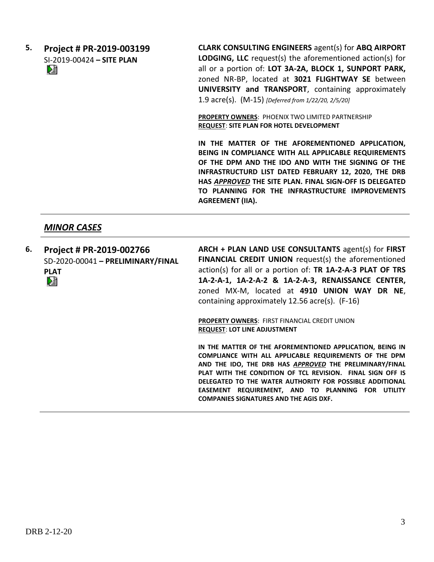# **5. Project # PR-2019-003199** SI-2019-00424 **– SITE PLAN**

**CLARK CONSULTING ENGINEERS** agent(s) for **ABQ AIRPORT LODGING, LLC** request(s) the aforementioned action(s) for all or a portion of: **LOT 3A-2A, BLOCK 1, SUNPORT PARK,**  zoned NR-BP, located at **3021 FLIGHTWAY SE** between **UNIVERSITY and TRANSPORT**, containing approximately 1.9 acre(s). (M-15) *[Deferred from 1/22/20, 2/5/20]*

**PROPERTY OWNERS**: PHOENIX TWO LIMITED PARTNERSHIP **REQUEST**: **SITE PLAN FOR HOTEL DEVELOPMENT**

**IN THE MATTER OF THE AFOREMENTIONED APPLICATION, BEING IN COMPLIANCE WITH ALL APPLICABLE REQUIREMENTS OF THE DPM AND THE IDO AND WITH THE SIGNING OF THE INFRASTRUCTURD LIST DATED FEBRUARY 12, 2020, THE DRB HAS** *APPROVED* **THE SITE PLAN. FINAL SIGN-OFF IS DELEGATED TO PLANNING FOR THE INFRASTRUCTURE IMPROVEMENTS AGREEMENT (IIA).**

## *MINOR CASES*

**6. Project # PR-2019-002766** SD-2020-00041 **– PRELIMINARY/FINAL PLAT**<br>D골 **ARCH + PLAN LAND USE CONSULTANTS** agent(s) for **FIRST FINANCIAL CREDIT UNION** request(s) the aforementioned action(s) for all or a portion of: **TR 1A-2-A-3 PLAT OF TRS 1A-2-A-1, 1A-2-A-2 & 1A-2-A-3, RENAISSANCE CENTER,**  zoned MX-M, located at **4910 UNION WAY DR NE**, containing approximately 12.56 acre(s). (F-16)

> **PROPERTY OWNERS**: FIRST FINANCIAL CREDIT UNION **REQUEST**: **LOT LINE ADJUSTMENT**

**IN THE MATTER OF THE AFOREMENTIONED APPLICATION, BEING IN COMPLIANCE WITH ALL APPLICABLE REQUIREMENTS OF THE DPM AND THE IDO, THE DRB HAS** *APPROVED* **THE PRELIMINARY/FINAL PLAT WITH THE CONDITION OF TCL REVISION. FINAL SIGN OFF IS DELEGATED TO THE WATER AUTHORITY FOR POSSIBLE ADDITIONAL EASEMENT REQUIREMENT, AND TO PLANNING FOR UTILITY COMPANIES SIGNATURES AND THE AGIS DXF.**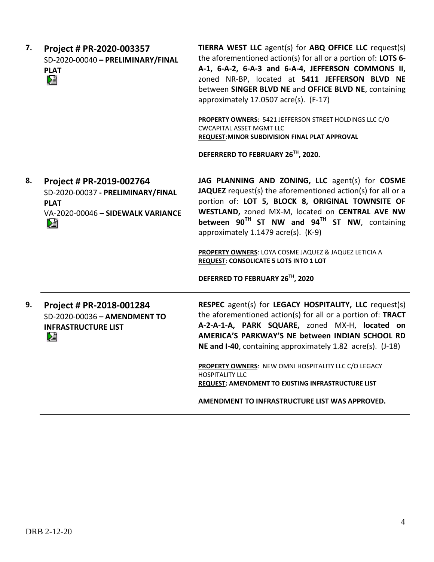| 7. | Project # PR-2020-003357<br>SD-2020-00040 - PRELIMINARY/FINAL<br><b>PLAT</b><br>麏                                       | TIERRA WEST LLC agent(s) for ABQ OFFICE LLC request(s)<br>the aforementioned action(s) for all or a portion of: LOTS 6-<br>A-1, 6-A-2, 6-A-3 and 6-A-4, JEFFERSON COMMONS II,<br>zoned NR-BP, located at 5411 JEFFERSON BLVD NE<br>between SINGER BLVD NE and OFFICE BLVD NE, containing<br>approximately 17.0507 acre(s). (F-17)<br>PROPERTY OWNERS: 5421 JEFFERSON STREET HOLDINGS LLC C/O<br><b>CWCAPITAL ASSET MGMT LLC</b><br>REQUEST: MINOR SUBDIVISION FINAL PLAT APPROVAL<br>DEFERRERD TO FEBRUARY 26TH, 2020. |
|----|-------------------------------------------------------------------------------------------------------------------------|------------------------------------------------------------------------------------------------------------------------------------------------------------------------------------------------------------------------------------------------------------------------------------------------------------------------------------------------------------------------------------------------------------------------------------------------------------------------------------------------------------------------|
| 8. | Project # PR-2019-002764<br>SD-2020-00037 - PRELIMINARY/FINAL<br><b>PLAT</b><br>VA-2020-00046 - SIDEWALK VARIANCE<br>DÈ | JAG PLANNING AND ZONING, LLC agent(s) for COSME<br>JAQUEZ request(s) the aforementioned action(s) for all or a<br>portion of: LOT 5, BLOCK 8, ORIGINAL TOWNSITE OF<br>WESTLAND, zoned MX-M, located on CENTRAL AVE NW<br>between 90 <sup>TH</sup> ST NW and 94 <sup>TH</sup> ST NW, containing<br>approximately 1.1479 acre(s). (K-9)<br>PROPERTY OWNERS: LOYA COSME JAQUEZ & JAQUEZ LETICIA A<br><b>REQUEST: CONSOLICATE 5 LOTS INTO 1 LOT</b><br>DEFERRED TO FEBRUARY 26TH, 2020                                     |
| 9. | Project # PR-2018-001284<br>SD-2020-00036 - AMENDMENT TO<br><b>INFRASTRUCTURE LIST</b><br>巆                             | RESPEC agent(s) for LEGACY HOSPITALITY, LLC request(s)<br>the aforementioned action(s) for all or a portion of: TRACT<br>A-2-A-1-A, PARK SQUARE, zoned MX-H, located on<br>AMERICA'S PARKWAY'S NE between INDIAN SCHOOL RD<br>NE and I-40, containing approximately 1.82 acre(s). (J-18)<br>PROPERTY OWNERS: NEW OMNI HOSPITALITY LLC C/O LEGACY<br><b>HOSPITALITY LLC</b><br>REQUEST: AMENDMENT TO EXISTING INFRASTRUCTURE LIST                                                                                       |
|    |                                                                                                                         | AMENDMENT TO INFRASTRUCTURE LIST WAS APPROVED.                                                                                                                                                                                                                                                                                                                                                                                                                                                                         |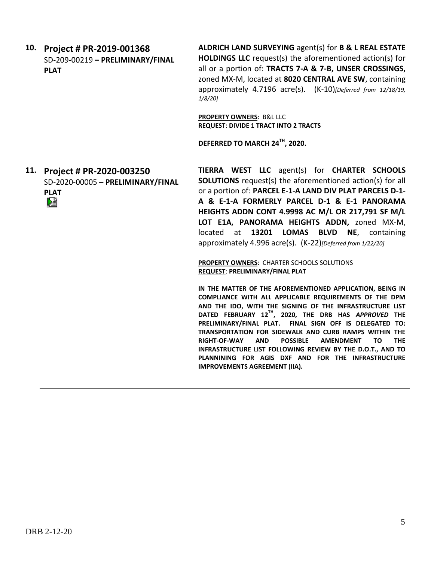| 10. | Project # PR-2019-001368<br>SD-209-00219 - PRELIMINARY/FINAL<br><b>PLAT</b> | ALDRICH LAND SURVEYING agent(s) for B & L REAL ESTATE<br><b>HOLDINGS LLC</b> request(s) the aforementioned action(s) for<br>all or a portion of: TRACTS 7-A & 7-B, UNSER CROSSINGS,<br>zoned MX-M, located at 8020 CENTRAL AVE SW, containing<br>approximately 4.7196 acre(s). (K-10) [Deferred from 12/18/19,<br>1/8/20 |
|-----|-----------------------------------------------------------------------------|--------------------------------------------------------------------------------------------------------------------------------------------------------------------------------------------------------------------------------------------------------------------------------------------------------------------------|
|     |                                                                             | <b>PROPERTY OWNERS: B&amp;L LLC</b><br><b>REQUEST: DIVIDE 1 TRACT INTO 2 TRACTS</b>                                                                                                                                                                                                                                      |
|     |                                                                             | DEFERRED TO MARCH 24TH, 2020.                                                                                                                                                                                                                                                                                            |
| 11. | Project # PR-2020-003250<br>SD-2020-00005 - PRELIMINARY/FINAL               | TIERRA WEST LLC agent(s) for CHARTER SCHOOLS<br><b>SOLUTIONS</b> request(s) the aforementioned action(s) for all                                                                                                                                                                                                         |

**TIERRA WEST LLC** agent(s) for **CHARTER SCHOOLS Solution** Solution or a portion of: **PARCEL E-1-A LAND DIV PLAT PARCELS D-1- A & E-1-A FORMERLY PARCEL D-1 & E-1 PANORAMA HEIGHTS ADDN CONT 4.9998 AC M/L OR 217,791 SF M/L LOT E1A, PANORAMA HEIGHTS ADDN,** zoned MX-M, located at **13201 LOMAS BLVD NE**, containing approximately 4.996 acre(s). (K-22)*[Deferred from 1/22/20]*

> **PROPERTY OWNERS**: CHARTER SCHOOLS SOLUTIONS **REQUEST**: **PRELIMINARY/FINAL PLAT**

**IN THE MATTER OF THE AFOREMENTIONED APPLICATION, BEING IN COMPLIANCE WITH ALL APPLICABLE REQUIREMENTS OF THE DPM AND THE IDO, WITH THE SIGNING OF THE INFRASTRUCTURE LIST DATED FEBRUARY 12TH, 2020, THE DRB HAS** *APPROVED* **THE PRELIMINARY/FINAL PLAT. FINAL SIGN OFF IS DELEGATED TO: TRANSPORTATION FOR SIDEWALK AND CURB RAMPS WITHIN THE RIGHT-OF-WAY AND POSSIBLE AMENDMENT TO THE INFRASTRUCTURE LIST FOLLOWING REVIEW BY THE D.O.T., AND TO PLANNINING FOR AGIS DXF AND FOR THE INFRASTRUCTURE IMPROVEMENTS AGREEMENT (IIA).**

**PLAT**